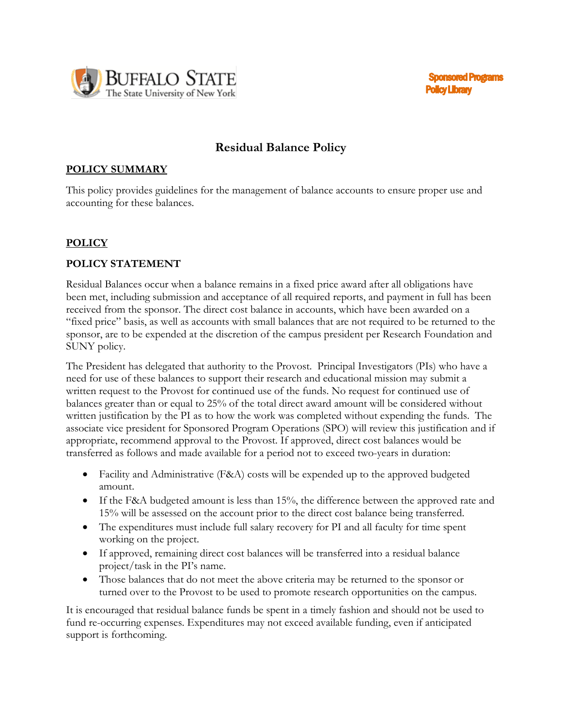

# **Residual Balance Policy**

### **POLICY SUMMARY**

This policy provides guidelines for the management of balance accounts to ensure proper use and accounting for these balances.

#### **POLICY**

#### **POLICY STATEMENT**

Residual Balances occur when a balance remains in a fixed price award after all obligations have been met, including submission and acceptance of all required reports, and payment in full has been received from the sponsor. The direct cost balance in accounts, which have been awarded on a "fixed price" basis, as well as accounts with small balances that are not required to be returned to the sponsor, are to be expended at the discretion of the campus president per Research Foundation and SUNY policy.

The President has delegated that authority to the Provost. Principal Investigators (PIs) who have a need for use of these balances to support their research and educational mission may submit a written request to the Provost for continued use of the funds. No request for continued use of balances greater than or equal to 25% of the total direct award amount will be considered without written justification by the PI as to how the work was completed without expending the funds. The associate vice president for Sponsored Program Operations (SPO) will review this justification and if appropriate, recommend approval to the Provost. If approved, direct cost balances would be transferred as follows and made available for a period not to exceed two-years in duration:

- Facility and Administrative (F&A) costs will be expended up to the approved budgeted amount.
- If the F&A budgeted amount is less than 15%, the difference between the approved rate and 15% will be assessed on the account prior to the direct cost balance being transferred.
- The expenditures must include full salary recovery for PI and all faculty for time spent working on the project.
- If approved, remaining direct cost balances will be transferred into a residual balance project/task in the PI's name.
- Those balances that do not meet the above criteria may be returned to the sponsor or turned over to the Provost to be used to promote research opportunities on the campus.

It is encouraged that residual balance funds be spent in a timely fashion and should not be used to fund re-occurring expenses. Expenditures may not exceed available funding, even if anticipated support is forthcoming.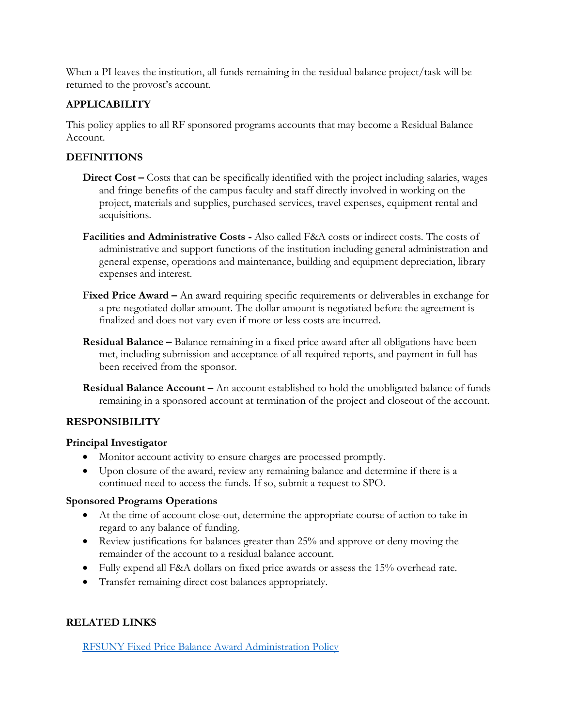When a PI leaves the institution, all funds remaining in the residual balance project/task will be returned to the provost's account.

#### **APPLICABILITY**

This policy applies to all RF sponsored programs accounts that may become a Residual Balance Account.

### **DEFINITIONS**

- **Direct Cost –** Costs that can be specifically identified with the project including salaries, wages and fringe benefits of the campus faculty and staff directly involved in working on the project, materials and supplies, purchased services, travel expenses, equipment rental and acquisitions.
- **Facilities and Administrative Costs -** Also called F&A costs or indirect costs. The costs of administrative and support functions of the institution including general administration and general expense, operations and maintenance, building and equipment depreciation, library expenses and interest.
- **Fixed Price Award –** An award requiring specific requirements or deliverables in exchange for a pre-negotiated dollar amount. The dollar amount is negotiated before the agreement is finalized and does not vary even if more or less costs are incurred.
- **Residual Balance –** Balance remaining in a fixed price award after all obligations have been met, including submission and acceptance of all required reports, and payment in full has been received from the sponsor.
- **Residual Balance Account –** An account established to hold the unobligated balance of funds remaining in a sponsored account at termination of the project and closeout of the account.

#### **RESPONSIBILITY**

#### **Principal Investigator**

- Monitor account activity to ensure charges are processed promptly.
- Upon closure of the award, review any remaining balance and determine if there is a continued need to access the funds. If so, submit a request to SPO.

#### **Sponsored Programs Operations**

- At the time of account close-out, determine the appropriate course of action to take in regard to any balance of funding.
- Review justifications for balances greater than 25% and approve or deny moving the remainder of the account to a residual balance account.
- Fully expend all F&A dollars on fixed price awards or assess the 15% overhead rate.
- Transfer remaining direct cost balances appropriately.

## **RELATED LINKS**

#### [RFSUNY Fixed Price Balance Award Administration Policy](https://www.rfsuny.org/media/rfsuny/policies/ae_fixed-price-balance-award-administration_pol.htm)